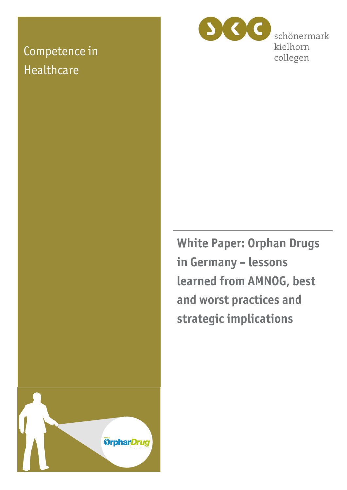### Competence in Healthcare



**White Paper: Orphan Drugs in Germany – lessons learned from AMNOG, best and worst practices and strategic implications**

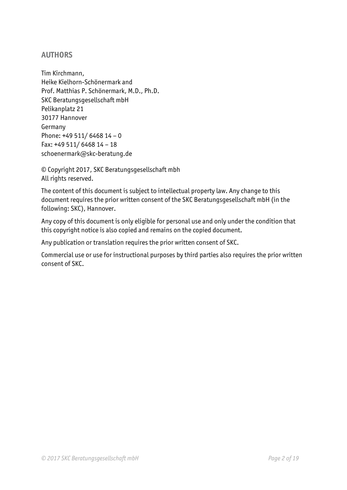#### **AUTHORS**

Tim Kirchmann, Heike Kielhorn-Schönermark and Prof. Matthias P. Schönermark, M.D., Ph.D. SKC Beratungsgesellschaft mbH Pelikanplatz 21 30177 Hannover Germany Phone: +49 511/ 6468 14 – 0 Fax: +49 511/ 6468 14 – 18 schoenermark@skc-beratung.de

© Copyright 2017, SKC Beratungsgesellschaft mbh All rights reserved.

The content of this document is subject to intellectual property law. Any change to this document requires the prior written consent of the SKC Beratungsgesellschaft mbH (in the following: SKC), Hannover.

Any copy of this document is only eligible for personal use and only under the condition that this copyright notice is also copied and remains on the copied document.

Any publication or translation requires the prior written consent of SKC.

Commercial use or use for instructional purposes by third parties also requires the prior written consent of SKC.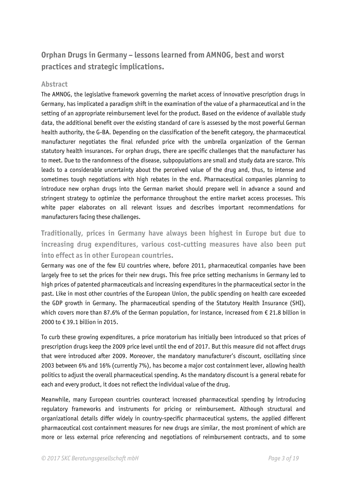#### **Orphan Drugs in Germany – lessons learned from AMNOG, best and worst practices and strategic implications.**

#### **Abstract**

The AMNOG, the legislative framework governing the market access of innovative prescription drugs in Germany, has implicated a paradigm shift in the examination of the value of a pharmaceutical and in the setting of an appropriate reimbursement level for the product. Based on the evidence of available study data, the additional benefit over the existing standard of care is assessed by the most powerful German health authority, the G-BA. Depending on the classification of the benefit category, the pharmaceutical manufacturer negotiates the final refunded price with the umbrella organization of the German statutory health insurances. For orphan drugs, there are specific challenges that the manufacturer has to meet. Due to the randomness of the disease, subpopulations are small and study data are scarce. This leads to a considerable uncertainty about the perceived value of the drug and, thus, to intense and sometimes tough negotiations with high rebates in the end. Pharmaceutical companies planning to introduce new orphan drugs into the German market should prepare well in advance a sound and stringent strategy to optimize the performance throughout the entire market access processes. This white paper elaborates on all relevant issues and describes important recommendations for manufacturers facing these challenges.

**Traditionally, prices in Germany have always been highest in Europe but due to increasing drug expenditures, various cost-cutting measures have also been put into effect as in other European countries.**

Germany was one of the few EU countries where, before 2011, pharmaceutical companies have been largely free to set the prices for their new drugs. This free price setting mechanisms in Germany led to high prices of patented pharmaceuticals and increasing expenditures in the pharmaceutical sector in the past. Like in most other countries of the European Union, the public spending on health care exceeded the GDP growth in Germany. The pharmaceutical spending of the Statutory Health Insurance (SHI), which covers more than 87.6% of the German population, for instance, increased from € 21.8 billion in 2000 to € 39.1 billion in 2015.

To curb these growing expenditures, a price moratorium has initially been introduced so that prices of prescription drugs keep the 2009 price level until the end of 2017. But this measure did not affect drugs that were introduced after 2009. Moreover, the mandatory manufacturer's discount, oscillating since 2003 between 6% and 16% (currently 7%), has become a major cost containment lever, allowing health politics to adjust the overall pharmaceutical spending. As the mandatory discount is a general rebate for each and every product, it does not reflect the individual value of the drug.

Meanwhile, many European countries counteract increased pharmaceutical spending by introducing regulatory frameworks and instruments for pricing or reimbursement. Although structural and organizational details differ widely in country-specific pharmaceutical systems, the applied different pharmaceutical cost containment measures for new drugs are similar, the most prominent of which are more or less external price referencing and negotiations of reimbursement contracts, and to some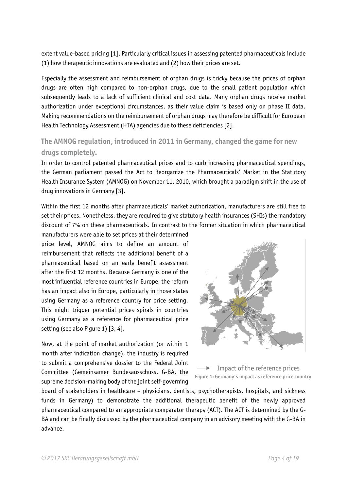extent value-based pricing [1]. Particularly critical issues in assessing patented pharmaceuticals include (1) how therapeutic innovations are evaluated and (2) how their prices are set.

Especially the assessment and reimbursement of orphan drugs is tricky because the prices of orphan drugs are often high compared to non-orphan drugs, due to the small patient population which subsequently leads to a lack of sufficient clinical and cost data. Many orphan drugs receive market authorization under exceptional circumstances, as their value claim is based only on phase II data. Making recommendations on the reimbursement of orphan drugs may therefore be difficult for European Health Technology Assessment (HTA) agencies due to these deficiencies [2].

#### **The AMNOG regulation, introduced in 2011 in Germany, changed the game for new drugs completely.**

In order to control patented pharmaceutical prices and to curb increasing pharmaceutical spendings, the German parliament passed the Act to Reorganize the Pharmaceuticals' Market in the Statutory Health Insurance System (AMNOG) on November 11, 2010, which brought a paradigm shift in the use of drug innovations in Germany [3].

Within the first 12 months after pharmaceuticals' market authorization, manufacturers are still free to set their prices. Nonetheless, they are required to give statutory health insurances (SHIs) the mandatory discount of 7% on these pharmaceuticals. In contrast to the former situation in which pharmaceutical

manufacturers were able to set prices at their determined price level, AMNOG aims to define an amount of reimbursement that reflects the additional benefit of a pharmaceutical based on an early benefit assessment after the first 12 months. Because Germany is one of the most influential reference countries in Europe, the reform has an impact also in Europe, particularly in those states using Germany as a reference country for price setting. This might trigger potential prices spirals in countries using Germany as a reference for pharmaceutical price setting (see als[o Figure 1\)](#page-3-0) [3, 4].

Now, at the point of market authorization (or within 1 month after indication change), the industry is required to submit a comprehensive dossier to the Federal Joint Committee (Gemeinsamer Bundesausschuss, G-BA, the supreme decision-making body of the joint self-governing



<span id="page-3-0"></span>Impact of the reference prices **Figure 1: Germany's impact as reference price country**

board of stakeholders in healthcare – physicians, dentists, psychotherapists, hospitals, and sickness funds in Germany) to demonstrate the additional therapeutic benefit of the newly approved pharmaceutical compared to an appropriate comparator therapy (ACT). The ACT is determined by the G-BA and can be finally discussed by the pharmaceutical company in an advisory meeting with the G-BA in advance.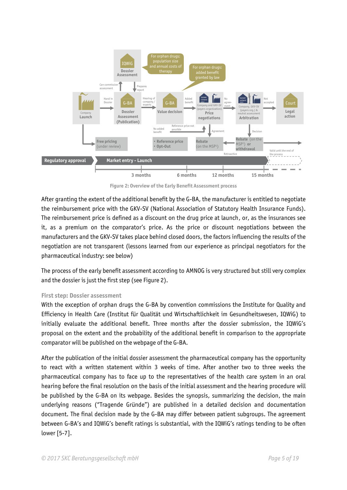

**Figure 2: Overview of the Early Benefit Assessment process**

<span id="page-4-0"></span>After granting the extent of the additional benefit by the G-BA, the manufacturer is entitled to negotiate the reimbursement price with the GKV-SV (National Association of Statutory Health Insurance Funds). The reimbursement price is defined as a discount on the drug price at launch, or, as the insurances see it, as a premium on the comparator's price. As the price or discount negotiations between the manufacturers and the GKV-SV takes place behind closed doors, the factors influencing the results of the negotiation are not transparent (lessons learned from our experience as principal negotiators for the pharmaceutical industry: see below)

The process of the early benefit assessment according to AMNOG is very structured but still very complex and the dossier is just the first step (see [Figure 2\)](#page-4-0).

#### **First step: Dossier assessment**

With the exception of orphan drugs the G-BA by convention commissions the Institute for Quality and Efficiency in Health Care (Institut für Qualität und Wirtschaftlichkeit im Gesundheitswesen, IQWiG) to initially evaluate the additional benefit. Three months after the dossier submission, the IQWiG's proposal on the extent and the probability of the additional benefit in comparison to the appropriate comparator will be published on the webpage of the G-BA.

After the publication of the initial dossier assessment the pharmaceutical company has the opportunity to react with a written statement within 3 weeks of time. After another two to three weeks the pharmaceutical company has to face up to the representatives of the health care system in an oral hearing before the final resolution on the basis of the initial assessment and the hearing procedure will be published by the G-BA on its webpage. Besides the synopsis, summarizing the decision, the main underlying reasons ("Tragende Gründe") are published in a detailed decision and documentation document. The final decision made by the G-BA may differ between patient subgroups. The agreement between G-BA's and IQWiG's benefit ratings is substantial, with the IQWiG's ratings tending to be often lower [5-7].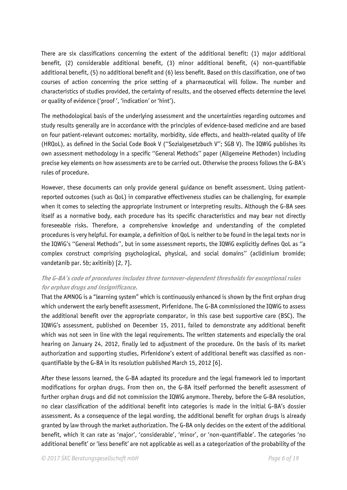There are six classifications concerning the extent of the additional benefit: (1) major additional benefit, (2) considerable additional benefit, (3) minor additional benefit, (4) non-quantifiable additional benefit, (5) no additional benefit and (6) less benefit. Based on this classification, one of two courses of action concerning the price setting of a pharmaceutical will follow. The number and characteristics of studies provided, the certainty of results, and the observed effects determine the level or quality of evidence ('proof ', 'indication' or 'hint').

The methodological basis of the underlying assessment and the uncertainties regarding outcomes and study results generally are in accordance with the principles of evidence-based medicine and are based on four patient-relevant outcomes: mortality, morbidity, side effects, and health-related quality of life (HRQoL), as defined in the Social Code Book V (''Sozialgesetzbuch V''; SGB V). The IQWiG publishes its own assessment methodology in a specific ''General Methods'' paper (Allgemeine Methoden) including precise key elements on how assessments are to be carried out. Otherwise the process follows the G-BA's rules of procedure.

However, these documents can only provide general guidance on benefit assessment. Using patientreported outcomes (such as QoL) in comparative effectiveness studies can be challenging, for example when it comes to selecting the appropriate instrument or interpreting results. Although the G-BA sees itself as a normative body, each procedure has its specific characteristics and may bear not directly foreseeable risks. Therefore, a comprehensive knowledge and understanding of the completed procedures is very helpful. For example, a definition of QoL is neither to be found in the legal texts nor in the IQWiG's ''General Methods'', but in some assessment reports, the IQWiG explicitly defines QoL as ''a complex construct comprising psychological, physical, and social domains'' (aclidinium bromide; vandetanib par. 5b; axitinib) [2, 7].

#### **The G-BA's code of procedures includes three turnover-dependent thresholds for exceptional rules for orphan drugs and insignificance.**

That the AMNOG is a "learning system" which is continuously enhanced is shown by the first orphan drug which underwent the early benefit assessment, Pirfenidone. The G-BA commissioned the IQWiG to assess the additional benefit over the appropriate comparator, in this case best supportive care (BSC). The IQWiG's assessment, published on December 15, 2011, failed to demonstrate any additional benefit which was not seen in line with the legal requirements. The written statements and especially the oral hearing on January 24, 2012, finally led to adjustment of the procedure. On the basis of its market authorization and supporting studies, Pirfenidone's extent of additional benefit was classified as nonquantifiable by the G-BA in its resolution published March 15, 2012 [6].

After these lessons learned, the G-BA adapted its procedure and the legal framework led to important modifications for orphan drugs. From then on, the G-BA itself performed the benefit assessment of further orphan drugs and did not commission the IQWiG anymore. Thereby, before the G-BA resolution, no clear classification of the additional benefit into categories is made in the initial G-BA's dossier assessment. As a consequence of the legal wording, the additional benefit for orphan drugs is already granted by law through the market authorization. The G-BA only decides on the extent of the additional benefit, which it can rate as 'major', 'considerable', 'minor', or 'non-quantifiable'. The categories 'no additional benefit' or 'less benefit' are not applicable as well as a categorization of the probability of the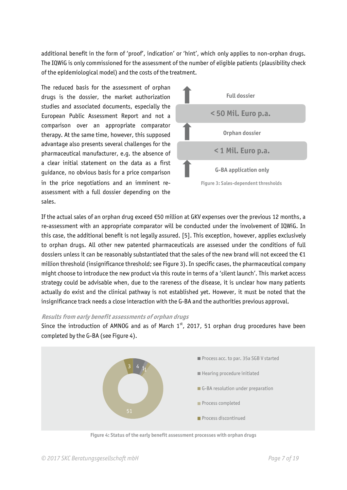additional benefit in the form of 'proof', indication' or 'hint', which only applies to non-orphan drugs. The IQWiG is only commissioned for the assessment of the number of eligible patients (plausibility check of the epidemiological model) and the costs of the treatment.

The reduced basis for the assessment of orphan drugs is the dossier, the market authorization studies and associated documents, especially the European Public Assessment Report and not a comparison over an appropriate comparator therapy. At the same time, however, this supposed advantage also presents several challenges for the pharmaceutical manufacturer, e.g. the absence of a clear initial statement on the data as a first guidance, no obvious basis for a price comparison in the price negotiations and an imminent reassessment with a full dossier depending on the sales.

<span id="page-6-0"></span>

European Public Assessment Report and not a<br>
comparison over an appropriate comparator (by the liberator of public fluorescent contents several challenges for the stuaring and propriate comparison<br>
pharmaceutical manufact If the actual sales of an orphan drug exceed €50 million at GKV expenses over the previous 12 months, a re-assessment with an appropriate comparator will be conducted under the involvement of IQWiG. In this case, the additional benefit is not legally assured. [5]. This exception, however, applies exclusively to orphan drugs. All other new patented pharmaceuticals are assessed under the conditions of full dossiers unless it can be reasonably substantiated that the sales of the new brand will not exceed the €1 million threshold (insignificance threshold; se[e Figure 3\)](#page-6-0). In specific cases, the pharmaceutical company might choose to introduce the new product via this route in terms of a 'silent launch'. This market access strategy could be advisable when, due to the rareness of the disease, it is unclear how many patients actually do exist and the clinical pathway is not established yet. However, it must be noted that the insignificance track needs a close interaction with the G-BA and the authorities previous approval.

#### **Results from early benefit assessments of orphan drugs**

Since the introduction of AMNOG and as of March  $1<sup>st</sup>$ , 2017, 51 orphan drug procedures have been completed by the G-BA (see [Figure 4\)](#page-6-1).



<span id="page-6-1"></span>**Figure 4: Status of the early benefit assessment processes with orphan drugs**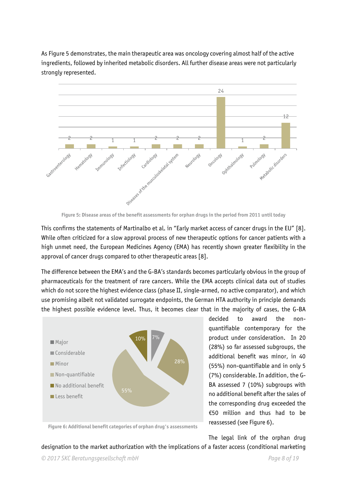As [Figure 5](#page-7-0) demonstrates, the main therapeutic area was oncology covering almost half of the active ingredients, followed by inherited metabolic disorders. All further disease areas were not particularly strongly represented.



**Figure 5: Disease areas of the benefit assessments for orphan drugs in the period from 2011 until today**

<span id="page-7-0"></span>This confirms the statements of Martinalbo et al. in "Early market access of cancer drugs in the EU" [8]. While often criticized for a slow approval process of new therapeutic options for cancer patients with a high unmet need, the European Medicines Agency (EMA) has recently shown greater flexibility in the approval of cancer drugs compared to other therapeutic areas [8].

The difference between the EMA's and the G-BA's standards becomes particularly obvious in the group of pharmaceuticals for the treatment of rare cancers. While the EMA accepts clinical data out of studies which do not score the highest evidence class (phase II, single-armed, no active comparator), and which use promising albeit not validated surrogate endpoints, the German HTA authority in principle demands the highest possible evidence level. Thus, it becomes clear that in the majority of cases, the G-BA



decided to award the nonquantifiable contemporary for the product under consideration. In 20 (28%) so far assessed subgroups, the additional benefit was minor, in 40 (55%) non-quantifiable and in only 5 (7%) considerable. In addition, the G-BA assessed 7 (10%) subgroups with no additional benefit after the sales of the corresponding drug exceeded the €50 million and thus had to be reassessed (see [Figure 6\)](#page-7-1).

<span id="page-7-1"></span>**Figure 6: Additional benefit categories of orphan drug's assessments**

The legal link of the orphan drug

designation to the market authorization with the implications of a faster access (conditional marketing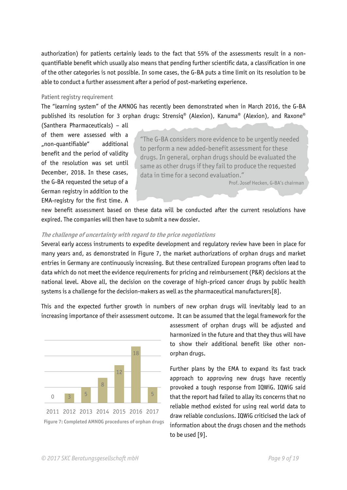authorization) for patients certainly leads to the fact that 55% of the assessments result in a nonquantifiable benefit which usually also means that pending further scientific data, a classification in one of the other categories is not possible. In some cases, the G-BA puts a time limit on its resolution to be able to conduct a further assessment after a period of post-marketing experience.

#### Patient registry requirement

The "learning system" of the AMNOG has recently been demonstrated when in March 2016, the G-BA published its resolution for 3 orphan drugs: Strensiq® (Alexion), Kanuma® (Alexion), and Raxone®

(Santhera Pharmaceuticals) – all of them were assessed with a "non-quantifiable" additional benefit and the period of validity of the resolution was set until December, 2018. In these cases, the G-BA requested the setup of a German registry in addition to the EMA-registry for the first time. A

"The G-BA considers more evidence to be urgently needed to perform a new added-benefit assessment for these drugs. In general, orphan drugs should be evaluated the same as other drugs if they fail to produce the requested data in time for a second evaluation."

Prof. Josef Hecken, G-BA's chairman

new benefit assessment based on these data will be conducted after the current resolutions have expired. The companies will then have to submit a new dossier.

#### **The challenge of uncertainty with regard to the price negotiations**

Several early access instruments to expedite development and regulatory review have been in place for many years and, as demonstrated in [Figure 7,](#page-8-0) the market authorizations of orphan drugs and market entries in Germany are continuously increasing. But these centralized European programs often lead to data which do not meet the evidence requirements for pricing and reimbursement (P&R) decisions at the national level. Above all, the decision on the coverage of high-priced cancer drugs by public health systems is a challenge for the decision-makers as well as the pharmaceutical manufacturers[8].

This and the expected further growth in numbers of new orphan drugs will inevitably lead to an increasing importance of their assessment outcome. It can be assumed that the legal framework for the

<span id="page-8-0"></span>

assessment of orphan drugs will be adjusted and harmonized in the future and that they thus will have to show their additional benefit like other nonorphan drugs.

Further plans by the EMA to expand its fast track approach to approving new drugs have recently provoked a tough response from IQWiG. IQWiG said that the report had failed to allay its concerns that no reliable method existed for using real world data to draw reliable conclusions. IQWiG criticised the lack of information about the drugs chosen and the methods to be used [9].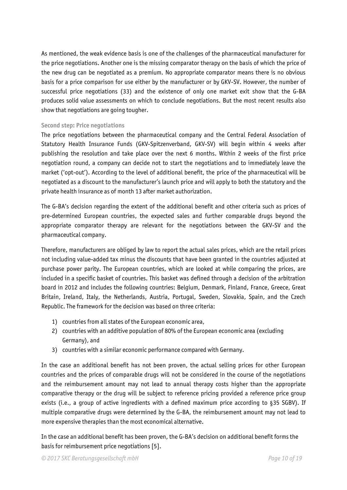As mentioned, the weak evidence basis is one of the challenges of the pharmaceutical manufacturer for the price negotiations. Another one is the missing comparator therapy on the basis of which the price of the new drug can be negotiated as a premium. No appropriate comparator means there is no obvious basis for a price comparison for use either by the manufacturer or by GKV-SV. However, the number of successful price negotiations (33) and the existence of only one market exit show that the G-BA produces solid value assessments on which to conclude negotiations. But the most recent results also show that negotiations are going tougher.

#### **Second step: Price negotiations**

The price negotiations between the pharmaceutical company and the Central Federal Association of Statutory Health Insurance Funds (GKV-Spitzenverband, GKV-SV) will begin within 4 weeks after publishing the resolution and take place over the next 6 months. Within 2 weeks of the first price negotiation round, a company can decide not to start the negotiations and to immediately leave the market ('opt-out'). According to the level of additional benefit, the price of the pharmaceutical will be negotiated as a discount to the manufacturer's launch price and will apply to both the statutory and the private health insurance as of month 13 after market authorization.

The G-BA's decision regarding the extent of the additional benefit and other criteria such as prices of pre-determined European countries, the expected sales and further comparable drugs beyond the appropriate comparator therapy are relevant for the negotiations between the GKV-SV and the pharmaceutical company.

Therefore, manufacturers are obliged by law to report the actual sales prices, which are the retail prices not including value-added tax minus the discounts that have been granted in the countries adjusted at purchase power parity. The European countries, which are looked at while comparing the prices, are included in a specific basket of countries. This basket was defined through a decision of the arbitration board in 2012 and includes the following countries: Belgium, Denmark, Finland, France, Greece, Great Britain, Ireland, Italy, the Netherlands, Austria, Portugal, Sweden, Slovakia, Spain, and the Czech Republic. The framework for the decision was based on three criteria:

- 1) countries from all states of the European economic area,
- 2) countries with an additive population of 80% of the European economic area (excluding Germany), and
- 3) countries with a similar economic performance compared with Germany.

In the case an additional benefit has not been proven, the actual selling prices for other European countries and the prices of comparable drugs will not be considered in the course of the negotiations and the reimbursement amount may not lead to annual therapy costs higher than the appropriate comparative therapy or the drug will be subject to reference pricing provided a reference price group exists (i.e., a group of active ingredients with a defined maximum price according to §35 SGBV). If multiple comparative drugs were determined by the G-BA, the reimbursement amount may not lead to more expensive therapies than the most economical alternative.

In the case an additional benefit has been proven, the G-BA's decision on additional benefit forms the basis for reimbursement price negotiations [5].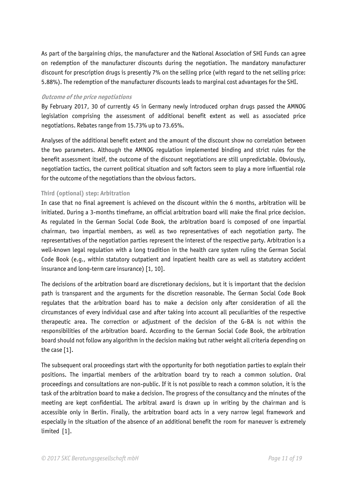As part of the bargaining chips, the manufacturer and the National Association of SHI Funds can agree on redemption of the manufacturer discounts during the negotiation. The mandatory manufacturer discount for prescription drugs is presently 7% on the selling price (with regard to the net selling price: 5.88%). The redemption of the manufacturer discounts leads to marginal cost advantages for the SHI.

#### **Outcome of the price negotiations**

By February 2017, 30 of currently 45 in Germany newly introduced orphan drugs passed the AMNOG legislation comprising the assessment of additional benefit extent as well as associated price negotiations. Rebates range from 15.73% up to 73.65%.

Analyses of the additional benefit extent and the amount of the discount show no correlation between the two parameters. Although the AMNOG regulation implemented binding and strict rules for the benefit assessment itself, the outcome of the discount negotiations are still unpredictable. Obviously, negotiation tactics, the current political situation and soft factors seem to play a more influential role for the outcome of the negotiations than the obvious factors.

#### **Third (optional) step: Arbitration**

In case that no final agreement is achieved on the discount within the 6 months, arbitration will be initiated. During a 3-months timeframe, an official arbitration board will make the final price decision. As regulated in the German Social Code Book, the arbitration board is composed of one impartial chairman, two impartial members, as well as two representatives of each negotiation party. The representatives of the negotiation parties represent the interest of the respective party. Arbitration is a well-known legal regulation with a long tradition in the health care system ruling the German Social Code Book (e.g., within statutory outpatient and inpatient health care as well as statutory accident insurance and long-term care insurance) [1, 10].

The decisions of the arbitration board are discretionary decisions, but it is important that the decision path is transparent and the arguments for the discretion reasonable. The German Social Code Book regulates that the arbitration board has to make a decision only after consideration of all the circumstances of every individual case and after taking into account all peculiarities of the respective therapeutic area. The correction or adjustment of the decision of the G-BA is not within the responsibilities of the arbitration board. According to the German Social Code Book, the arbitration board should not follow any algorithm in the decision making but rather weight all criteria depending on the case [1].

The subsequent oral proceedings start with the opportunity for both negotiation parties to explain their positions. The impartial members of the arbitration board try to reach a common solution. Oral proceedings and consultations are non-public. If it is not possible to reach a common solution, it is the task of the arbitration board to make a decision. The progress of the consultancy and the minutes of the meeting are kept confidential. The arbitral award is drawn up in writing by the chairman and is accessible only in Berlin. Finally, the arbitration board acts in a very narrow legal framework and especially in the situation of the absence of an additional benefit the room for maneuver is extremely limited [1].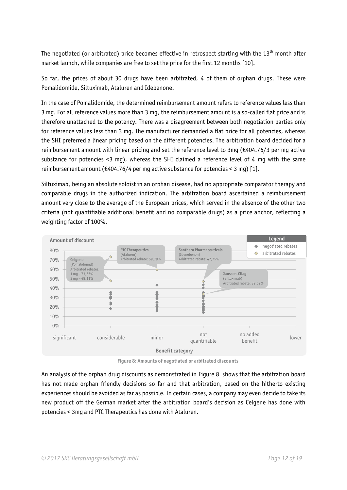The negotiated (or arbitrated) price becomes effective in retrospect starting with the 13<sup>th</sup> month after market launch, while companies are free to set the price for the first 12 months [10].

So far, the prices of about 30 drugs have been arbitrated, 4 of them of orphan drugs. These were Pomalidomide, Siltuximab, Ataluren and Idebenone.

In the case of Pomalidomide, the determined reimbursement amount refers to reference values less than 3 mg. For all reference values more than 3 mg, the reimbursement amount is a so-called flat price and is therefore unattached to the potency. There was a disagreement between both negotiation parties only for reference values less than 3 mg. The manufacturer demanded a flat price for all potencies, whereas the SHI preferred a linear pricing based on the different potencies. The arbitration board decided for a reimbursement amount with linear pricing and set the reference level to 3mg ( $\epsilon$ 404.76/3 per mg active substance for potencies <3 mg), whereas the SHI claimed a reference level of 4 mg with the same reimbursement amount ( $\epsilon$ 404.76/4 per mg active substance for potencies < 3 mg) [1].

Siltuximab, being an absolute soloist in an orphan disease, had no appropriate comparator therapy and comparable drugs in the authorized indication. The arbitration board ascertained a reimbursement amount very close to the average of the European prices, which served in the absence of the other two criteria (not quantifiable additional benefit and no comparable drugs) as a price anchor, reflecting a weighting factor of 100%.



**Figure 8: Amounts of negotiated or arbitrated discounts**

<span id="page-11-0"></span>An analysis of the orphan drug discounts as demonstrated in [Figure 8](#page-11-0) shows that the arbitration board has not made orphan friendly decisions so far and that arbitration, based on the hitherto existing experiences should be avoided as far as possible. In certain cases, a company may even decide to take its new product off the German market after the arbitration board's decision as Celgene has done with potencies < 3mg and PTC Therapeutics has done with Ataluren.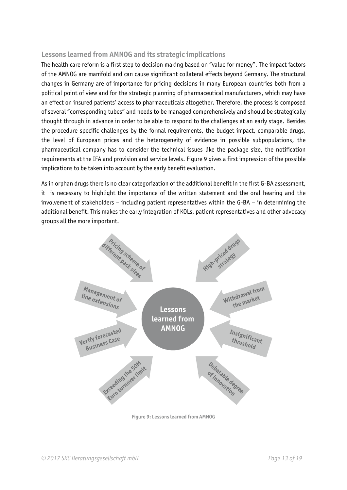#### **Lessons learned from AMNOG and its strategic implications**

The health care reform is a first step to decision making based on "value for money". The impact factors of the AMNOG are manifold and can cause significant collateral effects beyond Germany. The structural changes in Germany are of importance for pricing decisions in many European countries both from a political point of view and for the strategic planning of pharmaceutical manufacturers, which may have an effect on insured patients' access to pharmaceuticals altogether. Therefore, the process is composed of several "corresponding tubes" and needs to be managed comprehensively and should be strategically thought through in advance in order to be able to respond to the challenges at an early stage. Besides the procedure-specific challenges by the formal requirements, the budget impact, comparable drugs, the level of European prices and the heterogeneity of evidence in possible subpopulations, the pharmaceutical company has to consider the technical issues like the package size, the notification requirements at the IFA and provision and service levels. [Figure 9](#page-12-0) gives a first impression of the possible implications to be taken into account by the early benefit evaluation.

As in orphan drugs there is no clear categorization of the additional benefit in the first G-BA assessment, it is necessary to highlight the importance of the written statement and the oral hearing and the involvement of stakeholders – including patient representatives within the G-BA – in determining the additional benefit. This makes the early integration of KOLs, patient representatives and other advocacy groups all the more important.



<span id="page-12-0"></span>**Figure 9: Lessons learned from AMNOG**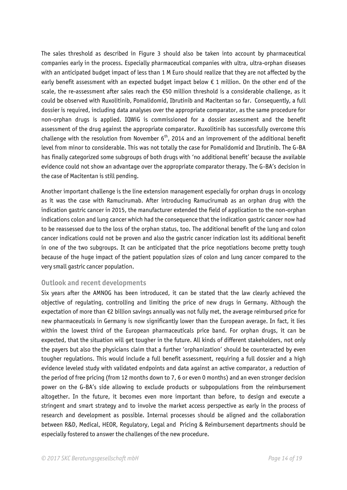The sales threshold as described in [Figure 3](#page-6-0) should also be taken into account by pharmaceutical companies early in the process. Especially pharmaceutical companies with ultra, ultra-orphan diseases with an anticipated budget impact of less than 1 M Euro should realize that they are not affected by the early benefit assessment with an expected budget impact below € 1 million. On the other end of the scale, the re-assessment after sales reach the €50 million threshold is a considerable challenge, as it could be observed with Ruxolitinib, Pomalidomid, Ibrutinib and Macitentan so far. Consequently, a full dossier is required, including data analyses over the appropriate comparator, as the same procedure for non-orphan drugs is applied. IQWiG is commissioned for a dossier assessment and the benefit assessment of the drug against the appropriate comparator. Ruxolitinib has successfully overcome this challenge with the resolution from November  $6<sup>th</sup>$ , 2014 and an improvement of the additional benefit level from minor to considerable. This was not totally the case for Pomalidomid and Ibrutinib. The G-BA has finally categorized some subgroups of both drugs with 'no additional benefit' because the available evidence could not show an advantage over the appropriate comparator therapy. The G-BA's decision in the case of Macitentan is still pending.

Another important challenge is the line extension management especially for orphan drugs in oncology as it was the case with Ramucirumab. After introducing Ramucirumab as an orphan drug with the indication gastric cancer in 2015, the manufacturer extended the field of application to the non-orphan indications colon and lung cancer which had the consequence that the indication gastric cancer now had to be reassessed due to the loss of the orphan status, too. The additional benefit of the lung and colon cancer indications could not be proven and also the gastric cancer indication lost its additional benefit in one of the two subgroups. It can be anticipated that the price negotiations become pretty tough because of the huge impact of the patient population sizes of colon and lung cancer compared to the very small gastric cancer population.

#### **Outlook and recent developments**

Six years after the AMNOG has been introduced, it can be stated that the law clearly achieved the objective of regulating, controlling and limiting the price of new drugs in Germany. Although the expectation of more than €2 billion savings annually was not fully met, the average reimbursed price for new pharmaceuticals in Germany is now significantly lower than the European average. In fact, it lies within the lowest third of the European pharmaceuticals price band. For orphan drugs, it can be expected, that the situation will get tougher in the future. All kinds of different stakeholders, not only the payers but also the physicians claim that a further 'orphanization' should be counteracted by even tougher regulations. This would include a full benefit assessment, requiring a full dossier and a high evidence leveled study with validated endpoints and data against an active comparator, a reduction of the period of free pricing (from 12 months down to 7, 6 or even 0 months) and an even stronger decision power on the G-BA's side allowing to exclude products or subpopulations from the reimbursement altogether. In the future, it becomes even more important than before, to design and execute a stringent and smart strategy and to involve the market access perspective as early in the process of research and development as possible. Internal processes should be aligned and the collaboration between R&D, Medical, HEOR, Regulatory, Legal and Pricing & Reimbursement departments should be especially fostered to answer the challenges of the new procedure.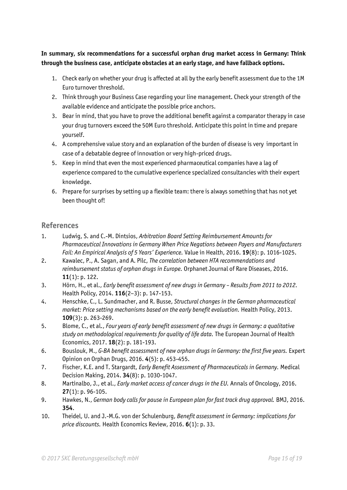**In summary, six recommendations for a successful orphan drug market access in Germany: Think through the business case, anticipate obstacles at an early stage, and have fallback options.**

- 1. Check early on whether your drug is affected at all by the early benefit assessment due to the 1M Euro turnover threshold.
- 2. Think through your Business Case regarding your line management. Check your strength of the available evidence and anticipate the possible price anchors.
- 3. Bear in mind, that you have to prove the additional benefit against a comparator therapy in case your drug turnovers exceed the 50M Euro threshold. Anticipate this point in time and prepare yourself.
- 4. A comprehensive value story and an explanation of the burden of disease is very important in case of a debatable degree of innovation or very high-priced drugs.
- 5. Keep in mind that even the most experienced pharmaceutical companies have a lag of experience compared to the cumulative experience specialized consultancies with their expert knowledge.
- 6. Prepare for surprises by setting up a flexible team: there is always something that has not yet been thought of!

#### **References**

- 1. Ludwig, S. and C.-M. Dintsios, *Arbitration Board Setting Reimbursement Amounts for Pharmaceutical Innovations in Germany When Price Negations between Payers and Manufacturers Fail: An Empirical Analysis of 5 Years' Experience.* Value in Health, 2016. **19**(8): p. 1016-1025.
- 2. Kawalec, P., A. Sagan, and A. Pilc, *The correlation between HTA recommendations and reimbursement status of orphan drugs in Europe.* Orphanet Journal of Rare Diseases, 2016. **11**(1): p. 122.
- 3. Hörn, H., et al., *Early benefit assessment of new drugs in Germany – Results from 2011 to 2012.* Health Policy, 2014. **116**(2–3): p. 147-153.
- 4. Henschke, C., L. Sundmacher, and R. Busse, *Structural changes in the German pharmaceutical market: Price setting mechanisms based on the early benefit evaluation.* Health Policy, 2013. **109**(3): p. 263-269.
- 5. Blome, C., et al., *Four years of early benefit assessment of new drugs in Germany: a qualitative study on methodological requirements for quality of life data.* The European Journal of Health Economics, 2017. **18**(2): p. 181-193.
- 6. Bouslouk, M., *G-BA benefit assessment of new orphan drugs in Germany: the first five years.* Expert Opinion on Orphan Drugs, 2016. **4**(5): p. 453-455.
- 7. Fischer, K.E. and T. Stargardt, *Early Benefit Assessment of Pharmaceuticals in Germany.* Medical Decision Making, 2014. **34**(8): p. 1030-1047.
- 8. Martinalbo, J., et al., *Early market access of cancer drugs in the EU.* Annals of Oncology, 2016. **27**(1): p. 96-105.
- 9. Hawkes, N., *German body calls for pause in European plan for fast track drug approval.* BMJ, 2016. **354**.
- 10. Theidel, U. and J.-M.G. von der Schulenburg, *Benefit assessment in Germany: implications for price discounts.* Health Economics Review, 2016. **6**(1): p. 33.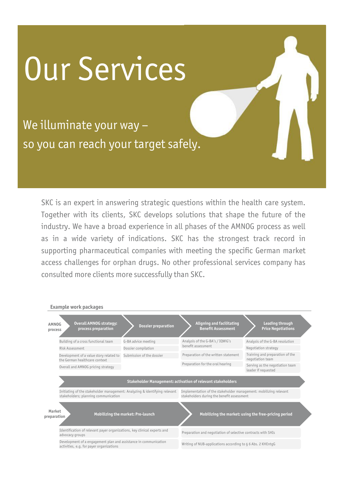### Our Services

We illuminate your way – so you can reach your target safely.

SKC is an expert in answering strategic questions within the health care system. Together with its clients, SKC develops solutions that shape the future of the industry. We have a broad experience in all phases of the AMNOG process as well as in a wide variety of indications. SKC has the strongest track record in supporting pharmaceutical companies with meeting the specific German market access challenges for orphan drugs. No other professional services company has consulted more clients more successfully than SKC.

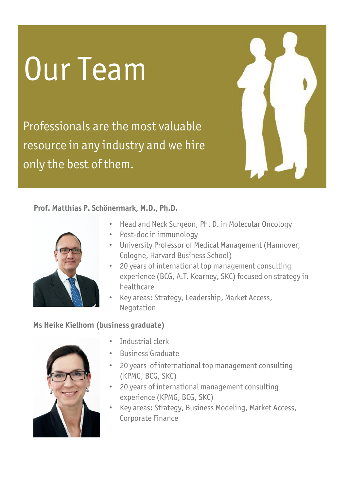## Our Team

Professionals are the most valuable resource in any industry and we hire only the best of them.

#### **Prof. Matthias P. Schönermark, M.D., Ph.D.**



- Head and Neck Surgeon, Ph. D. in Molecular Oncology
- Post-doc in immunology
- University Professor of Medical Management (Hannover, Cologne, Harvard Business School)
- 20 years of international top management consulting experience (BCG, A.T. Kearney, SKC) focused on strategy in healthcare
- Key areas: Strategy, Leadership, Market Access, Negotation

#### **Ms Heike Kielhorn (business graduate)**



- Industrial clerk
- Business Graduate
- 20 years of international top management consulting (KPMG, BCG, SKC)
- 20 years of international management consulting experience (KPMG, BCG, SKC)
- Key areas: Strategy, Business Modeling, Market Access, Corporate Finance

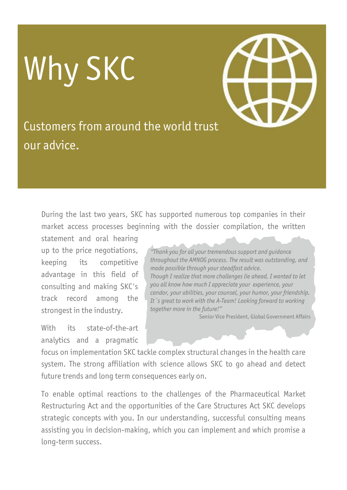## Why SKC



### Customers from around the world trust our advice.

During the last two years, SKC has supported numerous top companies in their market access processes beginning with the dossier compilation, the written

statement and oral hearing up to the price negotiations, keeping its competitive advantage in this field of consulting and making SKC's track record among the strongest in the industry.

With its state-of-the-art analytics and a pragmatic

*"Thank you for all your tremendous support and guidance throughout the AMNOG process. The result was outstanding, and made possible through your steadfast advice. Though I realize that more challenges lie ahead, I wanted to let you all know how much I appreciate your experience, your candor, your abilities, your counsel, your humor, your friendship. It´s great to work with the A-Team! Looking forward to working together more in the future!"*

Senior Vice President, Global Government Affairs

focus on implementation SKC tackle complex structural changes in the health care system. The strong affiliation with science allows SKC to go ahead and detect future trends and long term consequences early on.

To enable optimal reactions to the challenges of the Pharmaceutical Market Restructuring Act and the opportunities of the Care Structures Act SKC develops strategic concepts with you. In our understanding, successful consulting means assisting you in decision-making, which you can implement and which promise a long-term success.